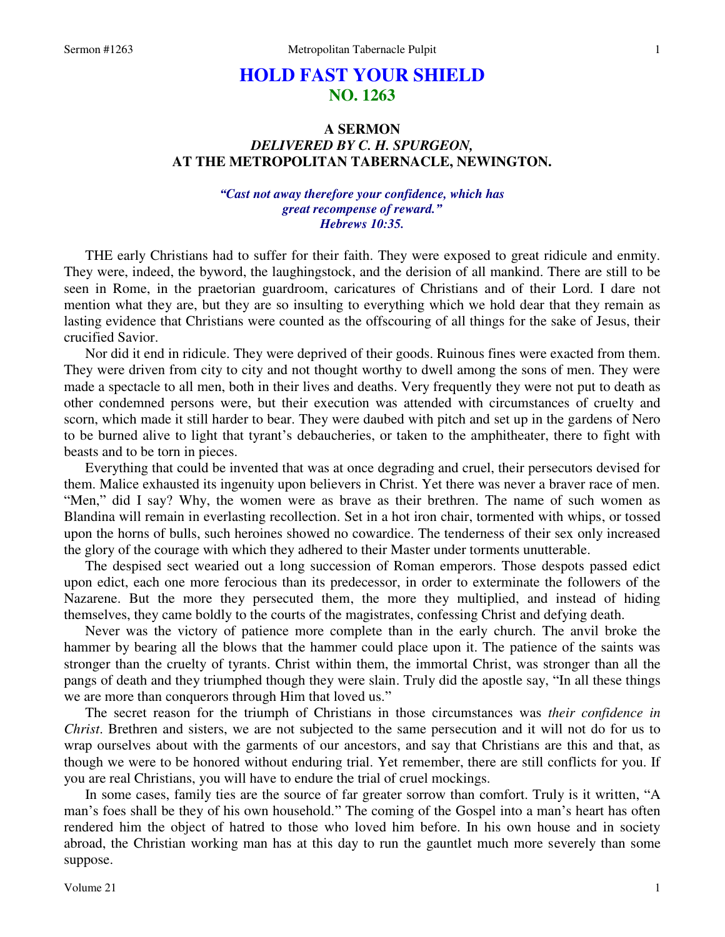# **HOLD FAST YOUR SHIELD NO. 1263**

## **A SERMON**  *DELIVERED BY C. H. SPURGEON,*  **AT THE METROPOLITAN TABERNACLE, NEWINGTON.**

### *"Cast not away therefore your confidence, which has great recompense of reward." Hebrews 10:35.*

THE early Christians had to suffer for their faith. They were exposed to great ridicule and enmity. They were, indeed, the byword, the laughingstock, and the derision of all mankind. There are still to be seen in Rome, in the praetorian guardroom, caricatures of Christians and of their Lord. I dare not mention what they are, but they are so insulting to everything which we hold dear that they remain as lasting evidence that Christians were counted as the offscouring of all things for the sake of Jesus, their crucified Savior.

 Nor did it end in ridicule. They were deprived of their goods. Ruinous fines were exacted from them. They were driven from city to city and not thought worthy to dwell among the sons of men. They were made a spectacle to all men, both in their lives and deaths. Very frequently they were not put to death as other condemned persons were, but their execution was attended with circumstances of cruelty and scorn, which made it still harder to bear. They were daubed with pitch and set up in the gardens of Nero to be burned alive to light that tyrant's debaucheries, or taken to the amphitheater, there to fight with beasts and to be torn in pieces.

 Everything that could be invented that was at once degrading and cruel, their persecutors devised for them. Malice exhausted its ingenuity upon believers in Christ. Yet there was never a braver race of men. "Men," did I say? Why, the women were as brave as their brethren. The name of such women as Blandina will remain in everlasting recollection. Set in a hot iron chair, tormented with whips, or tossed upon the horns of bulls, such heroines showed no cowardice. The tenderness of their sex only increased the glory of the courage with which they adhered to their Master under torments unutterable.

 The despised sect wearied out a long succession of Roman emperors. Those despots passed edict upon edict, each one more ferocious than its predecessor, in order to exterminate the followers of the Nazarene. But the more they persecuted them, the more they multiplied, and instead of hiding themselves, they came boldly to the courts of the magistrates, confessing Christ and defying death.

 Never was the victory of patience more complete than in the early church. The anvil broke the hammer by bearing all the blows that the hammer could place upon it. The patience of the saints was stronger than the cruelty of tyrants. Christ within them, the immortal Christ, was stronger than all the pangs of death and they triumphed though they were slain. Truly did the apostle say, "In all these things we are more than conquerors through Him that loved us."

 The secret reason for the triumph of Christians in those circumstances was *their confidence in Christ*. Brethren and sisters, we are not subjected to the same persecution and it will not do for us to wrap ourselves about with the garments of our ancestors, and say that Christians are this and that, as though we were to be honored without enduring trial. Yet remember, there are still conflicts for you. If you are real Christians, you will have to endure the trial of cruel mockings.

 In some cases, family ties are the source of far greater sorrow than comfort. Truly is it written, "A man's foes shall be they of his own household." The coming of the Gospel into a man's heart has often rendered him the object of hatred to those who loved him before. In his own house and in society abroad, the Christian working man has at this day to run the gauntlet much more severely than some suppose.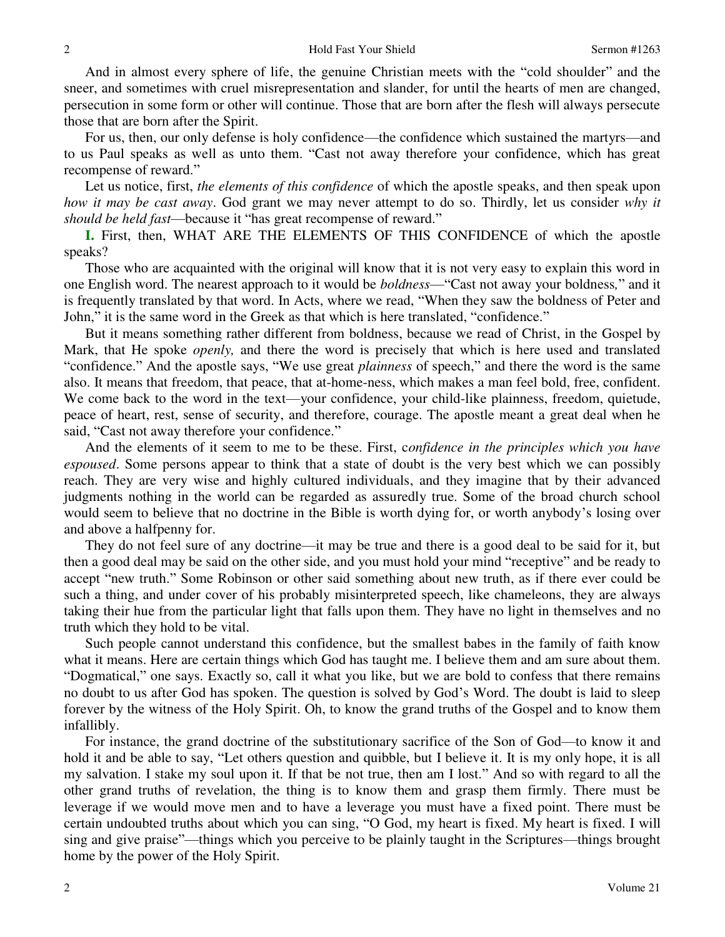And in almost every sphere of life, the genuine Christian meets with the "cold shoulder" and the sneer, and sometimes with cruel misrepresentation and slander, for until the hearts of men are changed, persecution in some form or other will continue. Those that are born after the flesh will always persecute those that are born after the Spirit.

 For us, then, our only defense is holy confidence—the confidence which sustained the martyrs—and to us Paul speaks as well as unto them. "Cast not away therefore your confidence, which has great recompense of reward."

 Let us notice, first, *the elements of this confidence* of which the apostle speaks, and then speak upon *how it may be cast away*. God grant we may never attempt to do so. Thirdly, let us consider *why it should be held fast*—because it "has great recompense of reward."

**I.** First, then, WHAT ARE THE ELEMENTS OF THIS CONFIDENCE of which the apostle speaks?

 Those who are acquainted with the original will know that it is not very easy to explain this word in one English word. The nearest approach to it would be *boldness*—"Cast not away your boldness*,*" and it is frequently translated by that word. In Acts, where we read, "When they saw the boldness of Peter and John," it is the same word in the Greek as that which is here translated, "confidence."

 But it means something rather different from boldness, because we read of Christ, in the Gospel by Mark, that He spoke *openly,* and there the word is precisely that which is here used and translated "confidence." And the apostle says, "We use great *plainness* of speech," and there the word is the same also. It means that freedom, that peace, that at-home-ness, which makes a man feel bold, free, confident. We come back to the word in the text—your confidence, your child-like plainness, freedom, quietude, peace of heart, rest, sense of security, and therefore, courage. The apostle meant a great deal when he said, "Cast not away therefore your confidence."

 And the elements of it seem to me to be these. First, c*onfidence in the principles which you have espoused*. Some persons appear to think that a state of doubt is the very best which we can possibly reach. They are very wise and highly cultured individuals, and they imagine that by their advanced judgments nothing in the world can be regarded as assuredly true. Some of the broad church school would seem to believe that no doctrine in the Bible is worth dying for, or worth anybody's losing over and above a halfpenny for.

 They do not feel sure of any doctrine—it may be true and there is a good deal to be said for it, but then a good deal may be said on the other side, and you must hold your mind "receptive" and be ready to accept "new truth." Some Robinson or other said something about new truth, as if there ever could be such a thing, and under cover of his probably misinterpreted speech, like chameleons, they are always taking their hue from the particular light that falls upon them. They have no light in themselves and no truth which they hold to be vital.

 Such people cannot understand this confidence, but the smallest babes in the family of faith know what it means. Here are certain things which God has taught me. I believe them and am sure about them. "Dogmatical," one says. Exactly so, call it what you like, but we are bold to confess that there remains no doubt to us after God has spoken. The question is solved by God's Word. The doubt is laid to sleep forever by the witness of the Holy Spirit. Oh, to know the grand truths of the Gospel and to know them infallibly.

 For instance, the grand doctrine of the substitutionary sacrifice of the Son of God—to know it and hold it and be able to say, "Let others question and quibble, but I believe it. It is my only hope, it is all my salvation. I stake my soul upon it. If that be not true, then am I lost." And so with regard to all the other grand truths of revelation, the thing is to know them and grasp them firmly. There must be leverage if we would move men and to have a leverage you must have a fixed point. There must be certain undoubted truths about which you can sing, "O God, my heart is fixed. My heart is fixed. I will sing and give praise"—things which you perceive to be plainly taught in the Scriptures—things brought home by the power of the Holy Spirit.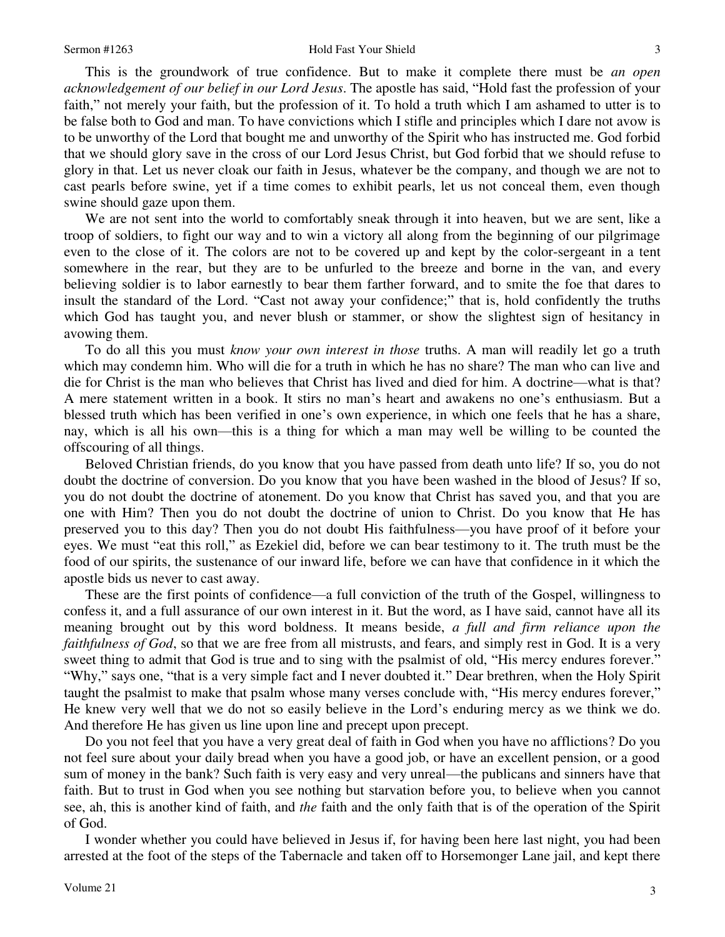This is the groundwork of true confidence. But to make it complete there must be *an open acknowledgement of our belief in our Lord Jesus*. The apostle has said, "Hold fast the profession of your faith," not merely your faith, but the profession of it. To hold a truth which I am ashamed to utter is to be false both to God and man. To have convictions which I stifle and principles which I dare not avow is to be unworthy of the Lord that bought me and unworthy of the Spirit who has instructed me. God forbid that we should glory save in the cross of our Lord Jesus Christ, but God forbid that we should refuse to glory in that. Let us never cloak our faith in Jesus, whatever be the company, and though we are not to cast pearls before swine, yet if a time comes to exhibit pearls, let us not conceal them, even though swine should gaze upon them.

 We are not sent into the world to comfortably sneak through it into heaven, but we are sent, like a troop of soldiers, to fight our way and to win a victory all along from the beginning of our pilgrimage even to the close of it. The colors are not to be covered up and kept by the color-sergeant in a tent somewhere in the rear, but they are to be unfurled to the breeze and borne in the van, and every believing soldier is to labor earnestly to bear them farther forward, and to smite the foe that dares to insult the standard of the Lord. "Cast not away your confidence;" that is, hold confidently the truths which God has taught you, and never blush or stammer, or show the slightest sign of hesitancy in avowing them.

 To do all this you must *know your own interest in those* truths. A man will readily let go a truth which may condemn him. Who will die for a truth in which he has no share? The man who can live and die for Christ is the man who believes that Christ has lived and died for him. A doctrine—what is that? A mere statement written in a book. It stirs no man's heart and awakens no one's enthusiasm. But a blessed truth which has been verified in one's own experience, in which one feels that he has a share, nay, which is all his own—this is a thing for which a man may well be willing to be counted the offscouring of all things.

 Beloved Christian friends, do you know that you have passed from death unto life? If so, you do not doubt the doctrine of conversion. Do you know that you have been washed in the blood of Jesus? If so, you do not doubt the doctrine of atonement. Do you know that Christ has saved you, and that you are one with Him? Then you do not doubt the doctrine of union to Christ. Do you know that He has preserved you to this day? Then you do not doubt His faithfulness—you have proof of it before your eyes. We must "eat this roll," as Ezekiel did, before we can bear testimony to it. The truth must be the food of our spirits, the sustenance of our inward life, before we can have that confidence in it which the apostle bids us never to cast away.

 These are the first points of confidence—a full conviction of the truth of the Gospel, willingness to confess it, and a full assurance of our own interest in it. But the word, as I have said, cannot have all its meaning brought out by this word boldness. It means beside, *a full and firm reliance upon the faithfulness of God*, so that we are free from all mistrusts, and fears, and simply rest in God. It is a very sweet thing to admit that God is true and to sing with the psalmist of old, "His mercy endures forever." "Why," says one, "that is a very simple fact and I never doubted it." Dear brethren, when the Holy Spirit taught the psalmist to make that psalm whose many verses conclude with, "His mercy endures forever," He knew very well that we do not so easily believe in the Lord's enduring mercy as we think we do. And therefore He has given us line upon line and precept upon precept.

 Do you not feel that you have a very great deal of faith in God when you have no afflictions? Do you not feel sure about your daily bread when you have a good job, or have an excellent pension, or a good sum of money in the bank? Such faith is very easy and very unreal—the publicans and sinners have that faith. But to trust in God when you see nothing but starvation before you, to believe when you cannot see, ah, this is another kind of faith, and *the* faith and the only faith that is of the operation of the Spirit of God.

 I wonder whether you could have believed in Jesus if, for having been here last night, you had been arrested at the foot of the steps of the Tabernacle and taken off to Horsemonger Lane jail, and kept there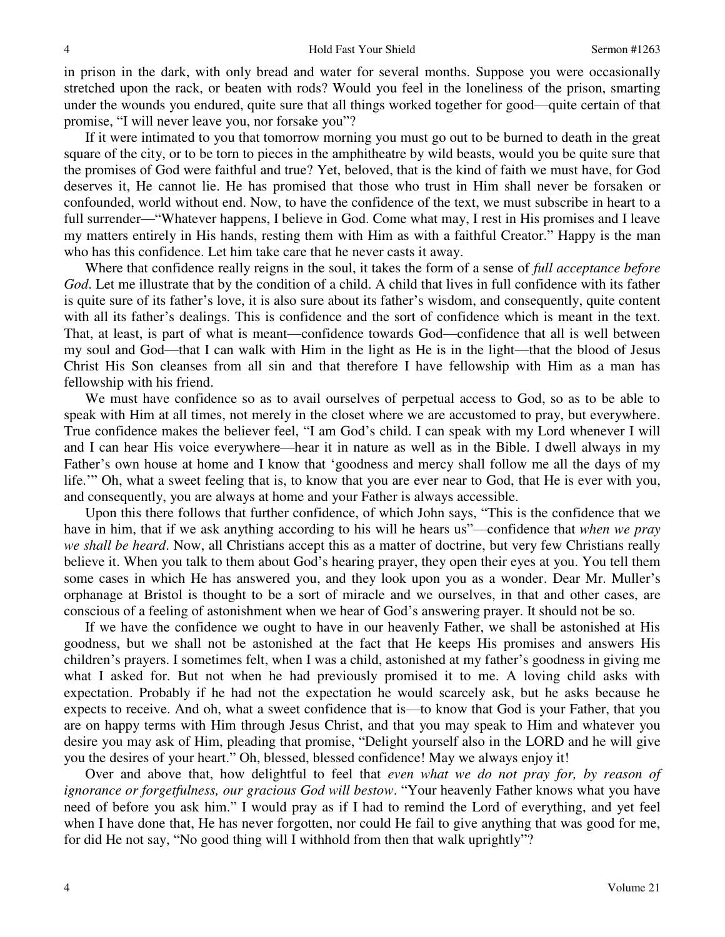in prison in the dark, with only bread and water for several months. Suppose you were occasionally stretched upon the rack, or beaten with rods? Would you feel in the loneliness of the prison, smarting under the wounds you endured, quite sure that all things worked together for good—quite certain of that promise, "I will never leave you, nor forsake you"?

 If it were intimated to you that tomorrow morning you must go out to be burned to death in the great square of the city, or to be torn to pieces in the amphitheatre by wild beasts, would you be quite sure that the promises of God were faithful and true? Yet, beloved, that is the kind of faith we must have, for God deserves it, He cannot lie. He has promised that those who trust in Him shall never be forsaken or confounded, world without end. Now, to have the confidence of the text, we must subscribe in heart to a full surrender—"Whatever happens, I believe in God. Come what may, I rest in His promises and I leave my matters entirely in His hands, resting them with Him as with a faithful Creator." Happy is the man who has this confidence. Let him take care that he never casts it away.

 Where that confidence really reigns in the soul, it takes the form of a sense of *full acceptance before God*. Let me illustrate that by the condition of a child. A child that lives in full confidence with its father is quite sure of its father's love, it is also sure about its father's wisdom, and consequently, quite content with all its father's dealings. This is confidence and the sort of confidence which is meant in the text. That, at least, is part of what is meant—confidence towards God—confidence that all is well between my soul and God—that I can walk with Him in the light as He is in the light—that the blood of Jesus Christ His Son cleanses from all sin and that therefore I have fellowship with Him as a man has fellowship with his friend.

 We must have confidence so as to avail ourselves of perpetual access to God, so as to be able to speak with Him at all times, not merely in the closet where we are accustomed to pray, but everywhere. True confidence makes the believer feel, "I am God's child. I can speak with my Lord whenever I will and I can hear His voice everywhere—hear it in nature as well as in the Bible. I dwell always in my Father's own house at home and I know that 'goodness and mercy shall follow me all the days of my life.'" Oh, what a sweet feeling that is, to know that you are ever near to God, that He is ever with you, and consequently, you are always at home and your Father is always accessible.

 Upon this there follows that further confidence, of which John says, "This is the confidence that we have in him, that if we ask anything according to his will he hears us"—confidence that *when we pray we shall be heard*. Now, all Christians accept this as a matter of doctrine, but very few Christians really believe it. When you talk to them about God's hearing prayer, they open their eyes at you. You tell them some cases in which He has answered you, and they look upon you as a wonder. Dear Mr. Muller's orphanage at Bristol is thought to be a sort of miracle and we ourselves, in that and other cases, are conscious of a feeling of astonishment when we hear of God's answering prayer. It should not be so.

 If we have the confidence we ought to have in our heavenly Father, we shall be astonished at His goodness, but we shall not be astonished at the fact that He keeps His promises and answers His children's prayers. I sometimes felt, when I was a child, astonished at my father's goodness in giving me what I asked for. But not when he had previously promised it to me. A loving child asks with expectation. Probably if he had not the expectation he would scarcely ask, but he asks because he expects to receive. And oh, what a sweet confidence that is—to know that God is your Father, that you are on happy terms with Him through Jesus Christ, and that you may speak to Him and whatever you desire you may ask of Him, pleading that promise, "Delight yourself also in the LORD and he will give you the desires of your heart." Oh, blessed, blessed confidence! May we always enjoy it!

 Over and above that, how delightful to feel that *even what we do not pray for, by reason of ignorance or forgetfulness, our gracious God will bestow*. "Your heavenly Father knows what you have need of before you ask him." I would pray as if I had to remind the Lord of everything, and yet feel when I have done that, He has never forgotten, nor could He fail to give anything that was good for me, for did He not say, "No good thing will I withhold from then that walk uprightly"?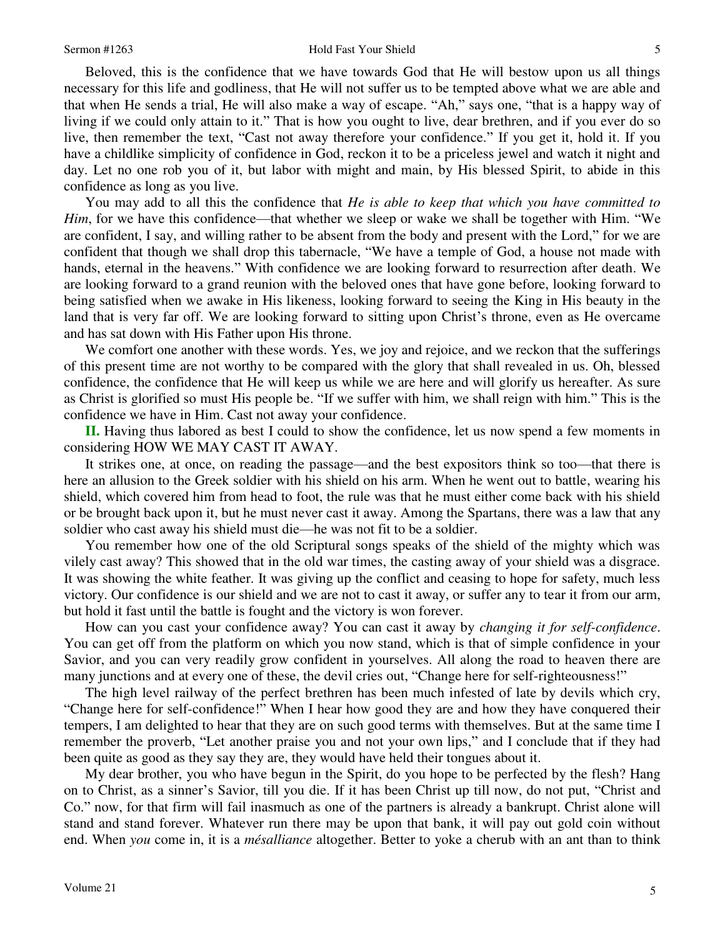Beloved, this is the confidence that we have towards God that He will bestow upon us all things necessary for this life and godliness, that He will not suffer us to be tempted above what we are able and that when He sends a trial, He will also make a way of escape. "Ah," says one, "that is a happy way of living if we could only attain to it." That is how you ought to live, dear brethren, and if you ever do so live, then remember the text, "Cast not away therefore your confidence." If you get it, hold it. If you have a childlike simplicity of confidence in God, reckon it to be a priceless jewel and watch it night and day. Let no one rob you of it, but labor with might and main, by His blessed Spirit, to abide in this confidence as long as you live.

 You may add to all this the confidence that *He is able to keep that which you have committed to Him*, for we have this confidence—that whether we sleep or wake we shall be together with Him. "We are confident, I say, and willing rather to be absent from the body and present with the Lord," for we are confident that though we shall drop this tabernacle, "We have a temple of God, a house not made with hands, eternal in the heavens." With confidence we are looking forward to resurrection after death. We are looking forward to a grand reunion with the beloved ones that have gone before, looking forward to being satisfied when we awake in His likeness, looking forward to seeing the King in His beauty in the land that is very far off. We are looking forward to sitting upon Christ's throne, even as He overcame and has sat down with His Father upon His throne.

We comfort one another with these words. Yes, we joy and rejoice, and we reckon that the sufferings of this present time are not worthy to be compared with the glory that shall revealed in us. Oh, blessed confidence, the confidence that He will keep us while we are here and will glorify us hereafter. As sure as Christ is glorified so must His people be. "If we suffer with him, we shall reign with him." This is the confidence we have in Him. Cast not away your confidence.

**II.** Having thus labored as best I could to show the confidence, let us now spend a few moments in considering HOW WE MAY CAST IT AWAY.

 It strikes one, at once, on reading the passage—and the best expositors think so too—that there is here an allusion to the Greek soldier with his shield on his arm. When he went out to battle, wearing his shield, which covered him from head to foot, the rule was that he must either come back with his shield or be brought back upon it, but he must never cast it away. Among the Spartans, there was a law that any soldier who cast away his shield must die—he was not fit to be a soldier.

 You remember how one of the old Scriptural songs speaks of the shield of the mighty which was vilely cast away? This showed that in the old war times, the casting away of your shield was a disgrace. It was showing the white feather. It was giving up the conflict and ceasing to hope for safety, much less victory. Our confidence is our shield and we are not to cast it away, or suffer any to tear it from our arm, but hold it fast until the battle is fought and the victory is won forever.

 How can you cast your confidence away? You can cast it away by *changing it for self-confidence*. You can get off from the platform on which you now stand, which is that of simple confidence in your Savior, and you can very readily grow confident in yourselves. All along the road to heaven there are many junctions and at every one of these, the devil cries out, "Change here for self-righteousness!"

 The high level railway of the perfect brethren has been much infested of late by devils which cry, "Change here for self-confidence!" When I hear how good they are and how they have conquered their tempers, I am delighted to hear that they are on such good terms with themselves. But at the same time I remember the proverb, "Let another praise you and not your own lips," and I conclude that if they had been quite as good as they say they are, they would have held their tongues about it.

 My dear brother, you who have begun in the Spirit, do you hope to be perfected by the flesh? Hang on to Christ, as a sinner's Savior, till you die. If it has been Christ up till now, do not put, "Christ and Co." now, for that firm will fail inasmuch as one of the partners is already a bankrupt. Christ alone will stand and stand forever. Whatever run there may be upon that bank, it will pay out gold coin without end. When *you* come in, it is a *mésalliance* altogether. Better to yoke a cherub with an ant than to think

5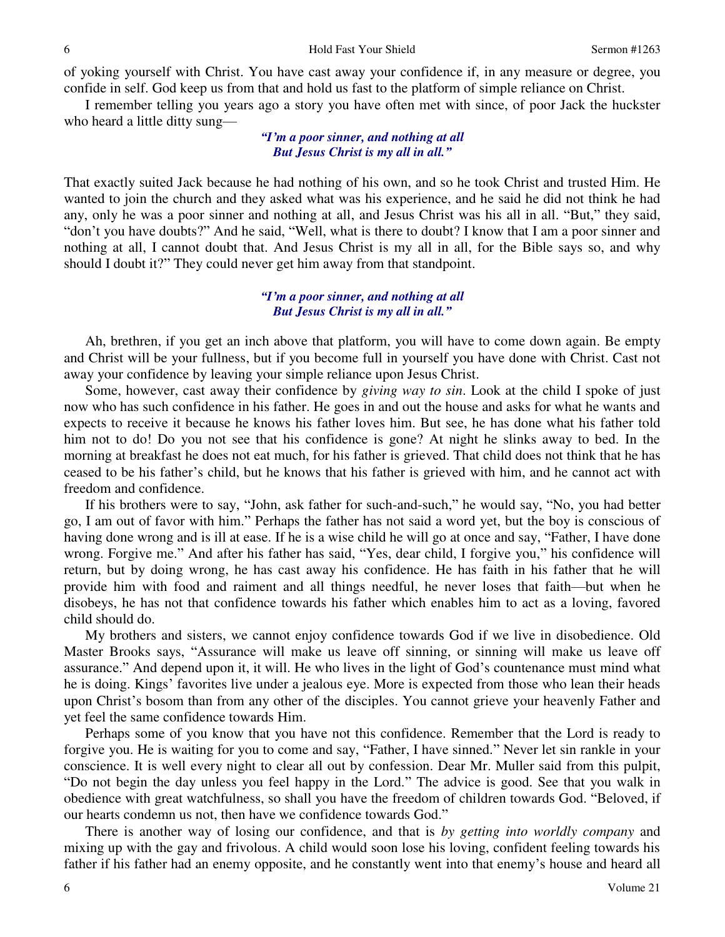of yoking yourself with Christ. You have cast away your confidence if, in any measure or degree, you confide in self. God keep us from that and hold us fast to the platform of simple reliance on Christ.

 I remember telling you years ago a story you have often met with since, of poor Jack the huckster who heard a little ditty sung—

### *"I'm a poor sinner, and nothing at all But Jesus Christ is my all in all."*

That exactly suited Jack because he had nothing of his own, and so he took Christ and trusted Him. He wanted to join the church and they asked what was his experience, and he said he did not think he had any, only he was a poor sinner and nothing at all, and Jesus Christ was his all in all. "But," they said, "don't you have doubts?" And he said, "Well, what is there to doubt? I know that I am a poor sinner and nothing at all, I cannot doubt that. And Jesus Christ is my all in all, for the Bible says so, and why should I doubt it?" They could never get him away from that standpoint.

### *"I'm a poor sinner, and nothing at all But Jesus Christ is my all in all."*

 Ah, brethren, if you get an inch above that platform, you will have to come down again. Be empty and Christ will be your fullness, but if you become full in yourself you have done with Christ. Cast not away your confidence by leaving your simple reliance upon Jesus Christ.

 Some, however, cast away their confidence by *giving way to sin*. Look at the child I spoke of just now who has such confidence in his father. He goes in and out the house and asks for what he wants and expects to receive it because he knows his father loves him. But see, he has done what his father told him not to do! Do you not see that his confidence is gone? At night he slinks away to bed. In the morning at breakfast he does not eat much, for his father is grieved. That child does not think that he has ceased to be his father's child, but he knows that his father is grieved with him, and he cannot act with freedom and confidence.

 If his brothers were to say, "John, ask father for such-and-such," he would say, "No, you had better go, I am out of favor with him." Perhaps the father has not said a word yet, but the boy is conscious of having done wrong and is ill at ease. If he is a wise child he will go at once and say, "Father, I have done wrong. Forgive me." And after his father has said, "Yes, dear child, I forgive you," his confidence will return, but by doing wrong, he has cast away his confidence. He has faith in his father that he will provide him with food and raiment and all things needful, he never loses that faith—but when he disobeys, he has not that confidence towards his father which enables him to act as a loving, favored child should do.

 My brothers and sisters, we cannot enjoy confidence towards God if we live in disobedience. Old Master Brooks says, "Assurance will make us leave off sinning, or sinning will make us leave off assurance." And depend upon it, it will. He who lives in the light of God's countenance must mind what he is doing. Kings' favorites live under a jealous eye. More is expected from those who lean their heads upon Christ's bosom than from any other of the disciples. You cannot grieve your heavenly Father and yet feel the same confidence towards Him.

 Perhaps some of you know that you have not this confidence. Remember that the Lord is ready to forgive you. He is waiting for you to come and say, "Father, I have sinned." Never let sin rankle in your conscience. It is well every night to clear all out by confession. Dear Mr. Muller said from this pulpit, "Do not begin the day unless you feel happy in the Lord." The advice is good. See that you walk in obedience with great watchfulness, so shall you have the freedom of children towards God. "Beloved, if our hearts condemn us not, then have we confidence towards God."

 There is another way of losing our confidence, and that is *by getting into worldly company* and mixing up with the gay and frivolous. A child would soon lose his loving, confident feeling towards his father if his father had an enemy opposite, and he constantly went into that enemy's house and heard all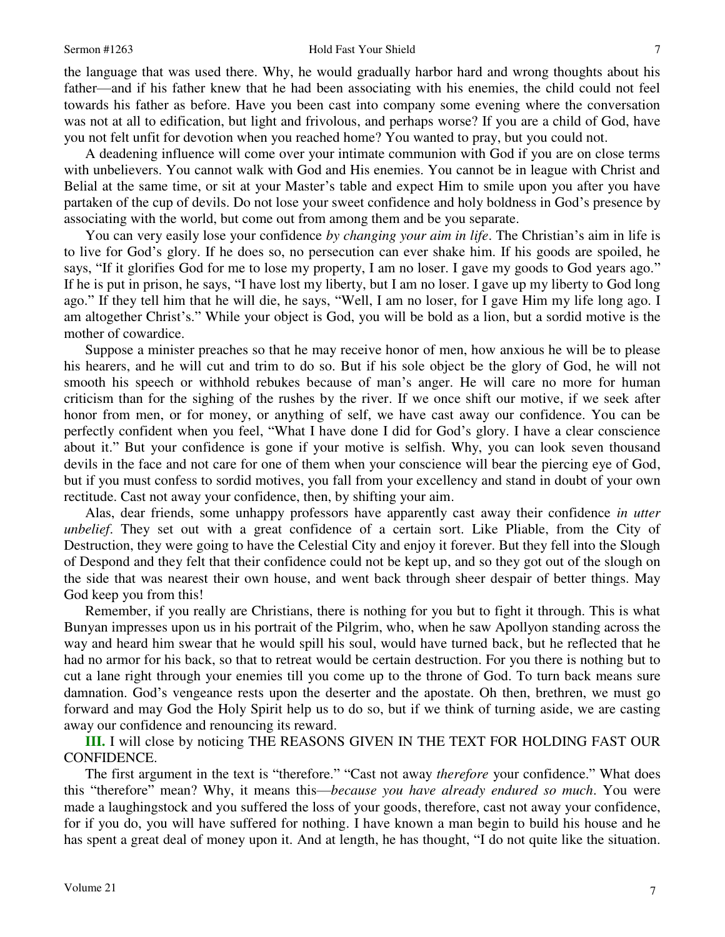the language that was used there. Why, he would gradually harbor hard and wrong thoughts about his father—and if his father knew that he had been associating with his enemies, the child could not feel towards his father as before. Have you been cast into company some evening where the conversation was not at all to edification, but light and frivolous, and perhaps worse? If you are a child of God, have you not felt unfit for devotion when you reached home? You wanted to pray, but you could not.

 A deadening influence will come over your intimate communion with God if you are on close terms with unbelievers. You cannot walk with God and His enemies. You cannot be in league with Christ and Belial at the same time, or sit at your Master's table and expect Him to smile upon you after you have partaken of the cup of devils. Do not lose your sweet confidence and holy boldness in God's presence by associating with the world, but come out from among them and be you separate.

 You can very easily lose your confidence *by changing your aim in life*. The Christian's aim in life is to live for God's glory. If he does so, no persecution can ever shake him. If his goods are spoiled, he says, "If it glorifies God for me to lose my property, I am no loser. I gave my goods to God years ago." If he is put in prison, he says, "I have lost my liberty, but I am no loser. I gave up my liberty to God long ago." If they tell him that he will die, he says, "Well, I am no loser, for I gave Him my life long ago. I am altogether Christ's." While your object is God, you will be bold as a lion, but a sordid motive is the mother of cowardice.

 Suppose a minister preaches so that he may receive honor of men, how anxious he will be to please his hearers, and he will cut and trim to do so. But if his sole object be the glory of God, he will not smooth his speech or withhold rebukes because of man's anger. He will care no more for human criticism than for the sighing of the rushes by the river. If we once shift our motive, if we seek after honor from men, or for money, or anything of self, we have cast away our confidence. You can be perfectly confident when you feel, "What I have done I did for God's glory. I have a clear conscience about it." But your confidence is gone if your motive is selfish. Why, you can look seven thousand devils in the face and not care for one of them when your conscience will bear the piercing eye of God, but if you must confess to sordid motives, you fall from your excellency and stand in doubt of your own rectitude. Cast not away your confidence, then, by shifting your aim.

 Alas, dear friends, some unhappy professors have apparently cast away their confidence *in utter unbelief*. They set out with a great confidence of a certain sort. Like Pliable, from the City of Destruction, they were going to have the Celestial City and enjoy it forever. But they fell into the Slough of Despond and they felt that their confidence could not be kept up, and so they got out of the slough on the side that was nearest their own house, and went back through sheer despair of better things. May God keep you from this!

 Remember, if you really are Christians, there is nothing for you but to fight it through. This is what Bunyan impresses upon us in his portrait of the Pilgrim, who, when he saw Apollyon standing across the way and heard him swear that he would spill his soul, would have turned back, but he reflected that he had no armor for his back, so that to retreat would be certain destruction. For you there is nothing but to cut a lane right through your enemies till you come up to the throne of God. To turn back means sure damnation. God's vengeance rests upon the deserter and the apostate. Oh then, brethren, we must go forward and may God the Holy Spirit help us to do so, but if we think of turning aside, we are casting away our confidence and renouncing its reward.

**III.** I will close by noticing THE REASONS GIVEN IN THE TEXT FOR HOLDING FAST OUR CONFIDENCE.

 The first argument in the text is "therefore." "Cast not away *therefore* your confidence." What does this "therefore" mean? Why, it means this—*because you have already endured so much*. You were made a laughingstock and you suffered the loss of your goods, therefore, cast not away your confidence, for if you do, you will have suffered for nothing. I have known a man begin to build his house and he has spent a great deal of money upon it. And at length, he has thought, "I do not quite like the situation.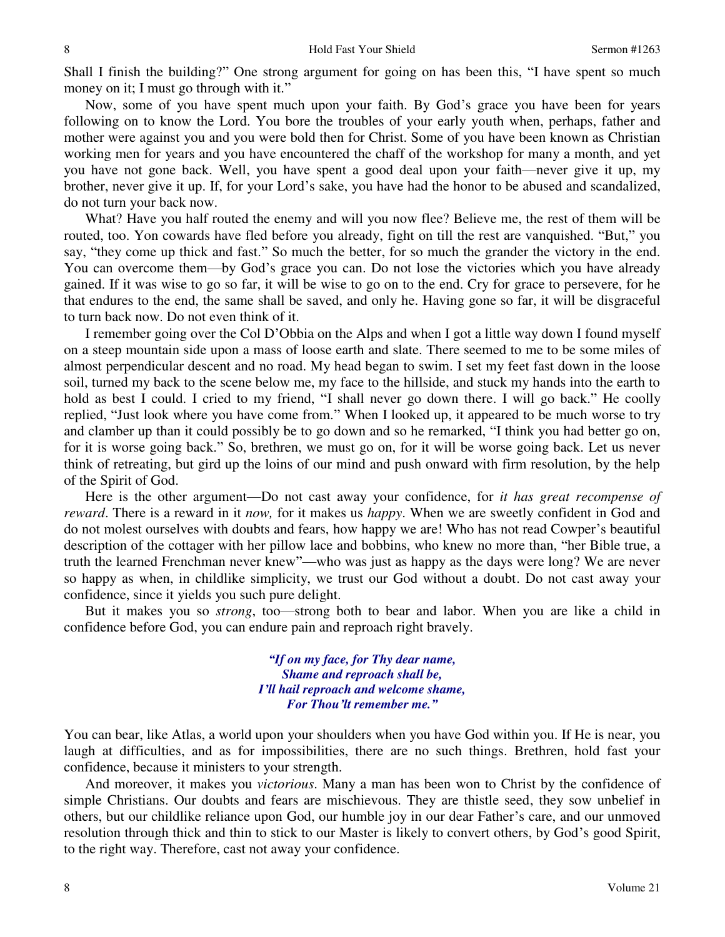Shall I finish the building?" One strong argument for going on has been this, "I have spent so much money on it; I must go through with it."

 Now, some of you have spent much upon your faith. By God's grace you have been for years following on to know the Lord. You bore the troubles of your early youth when, perhaps, father and mother were against you and you were bold then for Christ. Some of you have been known as Christian working men for years and you have encountered the chaff of the workshop for many a month, and yet you have not gone back. Well, you have spent a good deal upon your faith—never give it up, my brother, never give it up. If, for your Lord's sake, you have had the honor to be abused and scandalized, do not turn your back now.

 What? Have you half routed the enemy and will you now flee? Believe me, the rest of them will be routed, too. Yon cowards have fled before you already, fight on till the rest are vanquished. "But," you say, "they come up thick and fast." So much the better, for so much the grander the victory in the end. You can overcome them—by God's grace you can. Do not lose the victories which you have already gained. If it was wise to go so far, it will be wise to go on to the end. Cry for grace to persevere, for he that endures to the end, the same shall be saved, and only he. Having gone so far, it will be disgraceful to turn back now. Do not even think of it.

 I remember going over the Col D'Obbia on the Alps and when I got a little way down I found myself on a steep mountain side upon a mass of loose earth and slate. There seemed to me to be some miles of almost perpendicular descent and no road. My head began to swim. I set my feet fast down in the loose soil, turned my back to the scene below me, my face to the hillside, and stuck my hands into the earth to hold as best I could. I cried to my friend, "I shall never go down there. I will go back." He coolly replied, "Just look where you have come from." When I looked up, it appeared to be much worse to try and clamber up than it could possibly be to go down and so he remarked, "I think you had better go on, for it is worse going back." So, brethren, we must go on, for it will be worse going back. Let us never think of retreating, but gird up the loins of our mind and push onward with firm resolution, by the help of the Spirit of God.

 Here is the other argument—Do not cast away your confidence, for *it has great recompense of reward*. There is a reward in it *now,* for it makes us *happy*. When we are sweetly confident in God and do not molest ourselves with doubts and fears, how happy we are! Who has not read Cowper's beautiful description of the cottager with her pillow lace and bobbins, who knew no more than, "her Bible true, a truth the learned Frenchman never knew"—who was just as happy as the days were long? We are never so happy as when, in childlike simplicity, we trust our God without a doubt. Do not cast away your confidence, since it yields you such pure delight.

 But it makes you so *strong*, too—strong both to bear and labor. When you are like a child in confidence before God, you can endure pain and reproach right bravely.

> *"If on my face, for Thy dear name, Shame and reproach shall be, I'll hail reproach and welcome shame, For Thou'lt remember me."*

You can bear, like Atlas, a world upon your shoulders when you have God within you. If He is near, you laugh at difficulties, and as for impossibilities, there are no such things. Brethren, hold fast your confidence, because it ministers to your strength.

 And moreover, it makes you *victorious*. Many a man has been won to Christ by the confidence of simple Christians. Our doubts and fears are mischievous. They are thistle seed, they sow unbelief in others, but our childlike reliance upon God, our humble joy in our dear Father's care, and our unmoved resolution through thick and thin to stick to our Master is likely to convert others, by God's good Spirit, to the right way. Therefore, cast not away your confidence.